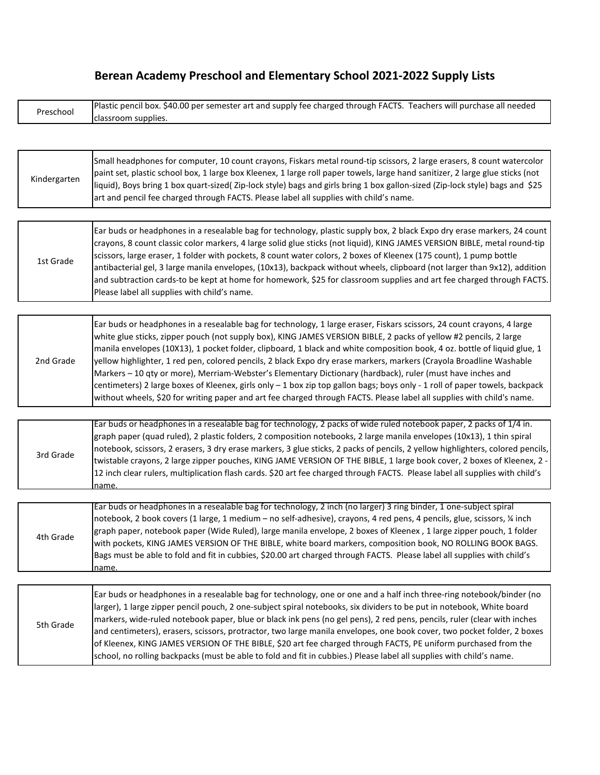# **Berean Academy Preschool and Elementary School 2021-2022 Supply Lists**

| Preschool | Plastic pencil box. \$40.00 per semester art and supply fee charged through FACTS. Teachers will purchase all needed |
|-----------|----------------------------------------------------------------------------------------------------------------------|
|           | classroom supplies.                                                                                                  |

| Kindergarten | Small headphones for computer, 10 count crayons, Fiskars metal round-tip scissors, 2 large erasers, 8 count watercolor<br>paint set, plastic school box, 1 large box Kleenex, 1 large roll paper towels, large hand sanitizer, 2 large glue sticks (not<br>liquid), Boys bring 1 box quart-sized(Zip-lock style) bags and girls bring 1 box gallon-sized (Zip-lock style) bags and \$25<br>art and pencil fee charged through FACTS. Please label all supplies with child's name. |
|--------------|-----------------------------------------------------------------------------------------------------------------------------------------------------------------------------------------------------------------------------------------------------------------------------------------------------------------------------------------------------------------------------------------------------------------------------------------------------------------------------------|
|--------------|-----------------------------------------------------------------------------------------------------------------------------------------------------------------------------------------------------------------------------------------------------------------------------------------------------------------------------------------------------------------------------------------------------------------------------------------------------------------------------------|

| 2nd Grade | Ear buds or headphones in a resealable bag for technology, 1 large eraser, Fiskars scissors, 24 count crayons, 4 large<br>white glue sticks, zipper pouch (not supply box), KING JAMES VERSION BIBLE, 2 packs of yellow #2 pencils, 2 large |
|-----------|---------------------------------------------------------------------------------------------------------------------------------------------------------------------------------------------------------------------------------------------|
|           | manila envelopes (10X13), 1 pocket folder, clipboard, 1 black and white composition book, 4 oz. bottle of liquid glue, 1                                                                                                                    |
|           | yellow highlighter, 1 red pen, colored pencils, 2 black Expo dry erase markers, markers (Crayola Broadline Washable                                                                                                                         |
|           | Markers - 10 qty or more), Merriam-Webster's Elementary Dictionary (hardback), ruler (must have inches and                                                                                                                                  |
|           | centimeters) 2 large boxes of Kleenex, girls only - 1 box zip top gallon bags; boys only - 1 roll of paper towels, backpack                                                                                                                 |
|           | without wheels, \$20 for writing paper and art fee charged through FACTS. Please label all supplies with child's name.                                                                                                                      |

| 3rd Grade | [Ear buds or headphones in a resealable bag for technology, 2 packs of wide ruled notebook paper, 2 packs of 1/4 in.           |
|-----------|--------------------------------------------------------------------------------------------------------------------------------|
|           | graph paper (quad ruled), 2 plastic folders, 2 composition notebooks, 2 large manila envelopes (10x13), 1 thin spiral          |
|           | notebook, scissors, 2 erasers, 3 dry erase markers, 3 glue sticks, 2 packs of pencils, 2 yellow highlighters, colored pencils, |
|           | twistable crayons, 2 large zipper pouches, KING JAME VERSION OF THE BIBLE, 1 large book cover, 2 boxes of Kleenex, 2 -         |
|           | 12 inch clear rulers, multiplication flash cards. \$20 art fee charged through FACTS. Please label all supplies with child's   |
|           | Iname.                                                                                                                         |

| 4th Grade | Ear buds or headphones in a resealable bag for technology, 2 inch (no larger) 3 ring binder, 1 one-subject spiral<br>notebook, 2 book covers (1 large, 1 medium - no self-adhesive), crayons, 4 red pens, 4 pencils, glue, scissors, ¼ inch<br>graph paper, notebook paper (Wide Ruled), large manila envelope, 2 boxes of Kleenex, 1 large zipper pouch, 1 folder<br>with pockets, KING JAMES VERSION OF THE BIBLE, white board markers, composition book, NO ROLLING BOOK BAGS. |
|-----------|-----------------------------------------------------------------------------------------------------------------------------------------------------------------------------------------------------------------------------------------------------------------------------------------------------------------------------------------------------------------------------------------------------------------------------------------------------------------------------------|
|           | Bags must be able to fold and fit in cubbies, \$20.00 art charged through FACTS. Please label all supplies with child's<br>Iname.                                                                                                                                                                                                                                                                                                                                                 |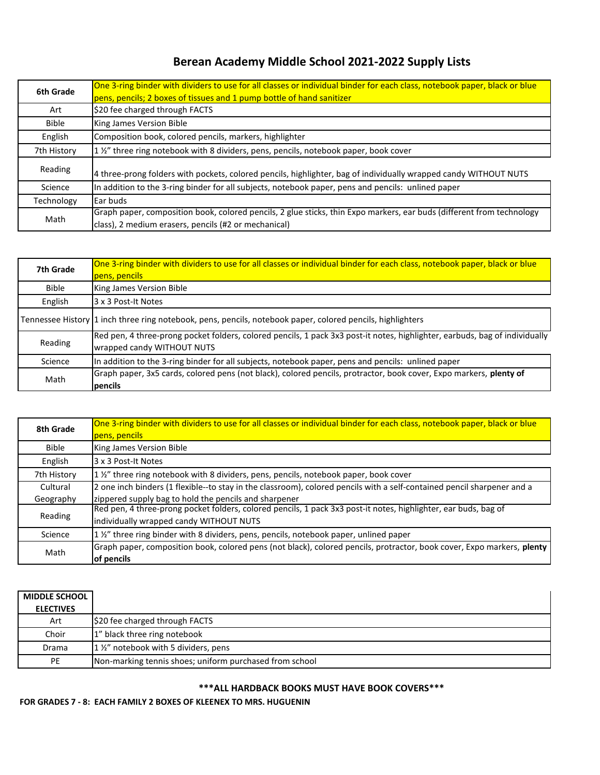# **Berean Academy Middle School 2021-2022 Supply Lists**

| 6th Grade    | One 3-ring binder with dividers to use for all classes or individual binder for each class, notebook paper, black or blue |
|--------------|---------------------------------------------------------------------------------------------------------------------------|
|              | pens, pencils; 2 boxes of tissues and 1 pump bottle of hand sanitizer                                                     |
| Art          | \$20 fee charged through FACTS                                                                                            |
| <b>Bible</b> | King James Version Bible                                                                                                  |
| English      | Composition book, colored pencils, markers, highlighter                                                                   |
| 7th History  | 1 1/2" three ring notebook with 8 dividers, pens, pencils, notebook paper, book cover                                     |
| Reading      | 4 three-prong folders with pockets, colored pencils, highlighter, bag of individually wrapped candy WITHOUT NUTS          |
| Science      | In addition to the 3-ring binder for all subjects, notebook paper, pens and pencils: unlined paper                        |
| Technology   | Ear buds                                                                                                                  |
|              | Graph paper, composition book, colored pencils, 2 glue sticks, thin Expo markers, ear buds (different from technology     |
| Math         | class), 2 medium erasers, pencils (#2 or mechanical)                                                                      |

| 7th Grade    | One 3-ring binder with dividers to use for all classes or individual binder for each class, notebook paper, black or blue<br>pens, pencils                |
|--------------|-----------------------------------------------------------------------------------------------------------------------------------------------------------|
| <b>Bible</b> | King James Version Bible                                                                                                                                  |
| English      | 3 x 3 Post-It Notes                                                                                                                                       |
|              | Tennessee History  1 inch three ring notebook, pens, pencils, notebook paper, colored pencils, highlighters                                               |
| Reading      | Red pen, 4 three-prong pocket folders, colored pencils, 1 pack 3x3 post-it notes, highlighter, earbuds, bag of individually<br>wrapped candy WITHOUT NUTS |
| Science      | In addition to the 3-ring binder for all subjects, notebook paper, pens and pencils: unlined paper                                                        |
| Math         | Graph paper, 3x5 cards, colored pens (not black), colored pencils, protractor, book cover, Expo markers, plenty of<br>pencils                             |

| 8th Grade    | One 3-ring binder with dividers to use for all classes or individual binder for each class, notebook paper, black or blue<br>pens, pencils                 |
|--------------|------------------------------------------------------------------------------------------------------------------------------------------------------------|
| <b>Bible</b> | King James Version Bible                                                                                                                                   |
| English      | 3 x 3 Post-It Notes                                                                                                                                        |
| 7th History  | 1 1/2" three ring notebook with 8 dividers, pens, pencils, notebook paper, book cover                                                                      |
| Cultural     | 2 one inch binders (1 flexible--to stay in the classroom), colored pencils with a self-contained pencil sharpener and a                                    |
| Geography    | zippered supply bag to hold the pencils and sharpener                                                                                                      |
| Reading      | Red pen, 4 three-prong pocket folders, colored pencils, 1 pack 3x3 post-it notes, highlighter, ear buds, bag of<br>individually wrapped candy WITHOUT NUTS |
| Science      | 1 1/2" three ring binder with 8 dividers, pens, pencils, notebook paper, unlined paper                                                                     |
| Math         | Graph paper, composition book, colored pens (not black), colored pencils, protractor, book cover, Expo markers, plenty<br>of pencils                       |

| <b>MIDDLE SCHOOL</b> |                                                         |
|----------------------|---------------------------------------------------------|
| <b>ELECTIVES</b>     |                                                         |
| Art                  | \$20 fee charged through FACTS                          |
| Choir                | 1" black three ring notebook                            |
| Drama                | 1 1/2" notebook with 5 dividers, pens                   |
| <b>PE</b>            | Non-marking tennis shoes; uniform purchased from school |

#### **\*\*\*ALL HARDBACK BOOKS MUST HAVE BOOK COVERS\*\*\***

**FOR GRADES 7 - 8: EACH FAMILY 2 BOXES OF KLEENEX TO MRS. HUGUENIN**